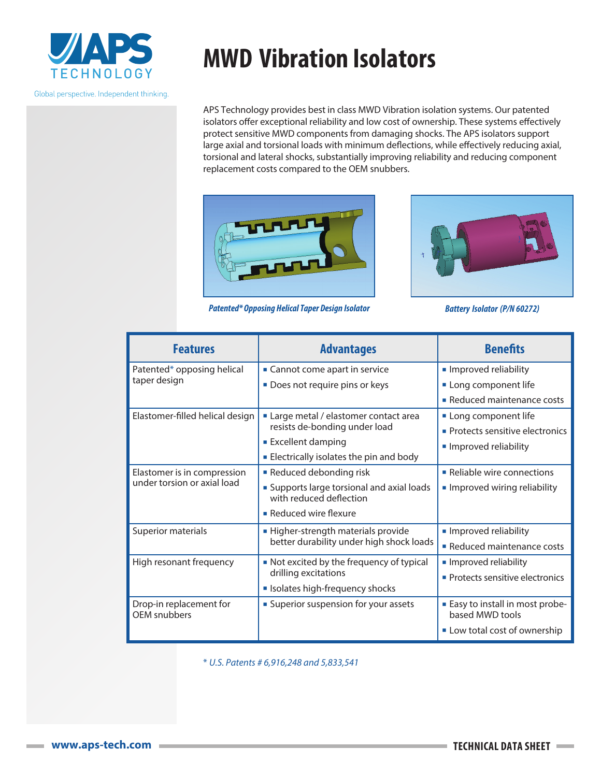

Global perspective. Independent thinking.

## **MWD Vibration Isolators**

APS Technology provides best in class MWD Vibration isolation systems. Our patented isolators offer exceptional reliability and low cost of ownership. These systems effectively protect sensitive MWD components from damaging shocks. The APS isolators support large axial and torsional loads with minimum deflections, while effectively reducing axial, torsional and lateral shocks, substantially improving reliability and reducing component replacement costs compared to the OEM snubbers.



*Patented\* Opposing Helical Taper Design Isolator* 



|  |  | <b>Battery Isolator (P/N 60272)</b> |
|--|--|-------------------------------------|
|--|--|-------------------------------------|

| <b>Features</b>                                            | <b>Advantages</b>                                                     | <b>Benefits</b>                                          |
|------------------------------------------------------------|-----------------------------------------------------------------------|----------------------------------------------------------|
| Patented* opposing helical<br>taper design                 | • Cannot come apart in service                                        | Improved reliability                                     |
|                                                            | Does not require pins or keys                                         | Long component life                                      |
|                                                            |                                                                       | • Reduced maintenance costs                              |
| Elastomer-filled helical design                            | Large metal / elastomer contact area                                  | Long component life                                      |
|                                                            | resists de-bonding under load                                         | • Protects sensitive electronics                         |
|                                                            | <b>Excellent damping</b>                                              | Improved reliability                                     |
|                                                            | <b>Electrically isolates the pin and body</b>                         |                                                          |
| Elastomer is in compression<br>under torsion or axial load | Reduced debonding risk                                                | • Reliable wire connections                              |
|                                                            | • Supports large torsional and axial loads<br>with reduced deflection | Improved wiring reliability                              |
|                                                            | • Reduced wire flexure                                                |                                                          |
| Superior materials                                         | - Higher-strength materials provide                                   | Improved reliability                                     |
|                                                            | better durability under high shock loads                              | Reduced maintenance costs                                |
| High resonant frequency                                    | • Not excited by the frequency of typical                             | Improved reliability                                     |
|                                                            | drilling excitations                                                  | • Protects sensitive electronics                         |
|                                                            | Isolates high-frequency shocks                                        |                                                          |
| Drop-in replacement for<br>OEM snubbers                    | <b>Superior suspension for your assets</b>                            | <b>Easy to install in most probe-</b><br>based MWD tools |
|                                                            |                                                                       | Low total cost of ownership                              |

\* *U.S. Patents # 6,916,248 and 5,833,541*